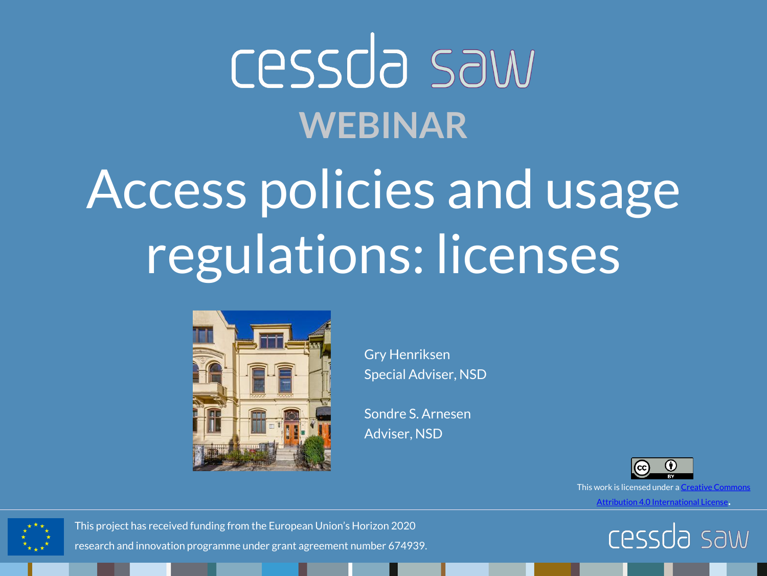## Cessda saw **WEBINAR**

## Access policies and usage regulations: licenses



Gry Henriksen Special Adviser, NSD

Sondre S. Arnesen Adviser, NSD



This work is licensed under a [Creative Commons](http://creativecommons.org/licenses/by/4.0/) 

[Attribution 4.0 International License](http://creativecommons.org/licenses/by/4.0/).





This project has received funding from the European Union's Horizon 2020 research and innovation programme under grant agreement number 674939.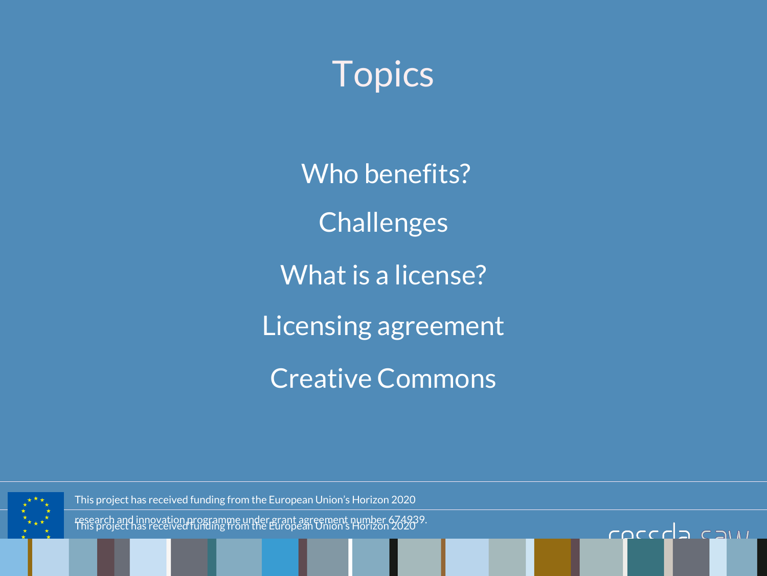#### Topics

Who benefits? Challenges What is a license? Licensing agreement Creative Commons

COCCCID CAMI



This project has received funding from the European Union's Horizon 2020

This project has received funding from the European Union's Horizon 2020 research and innovation programme under grant agreement number 674939.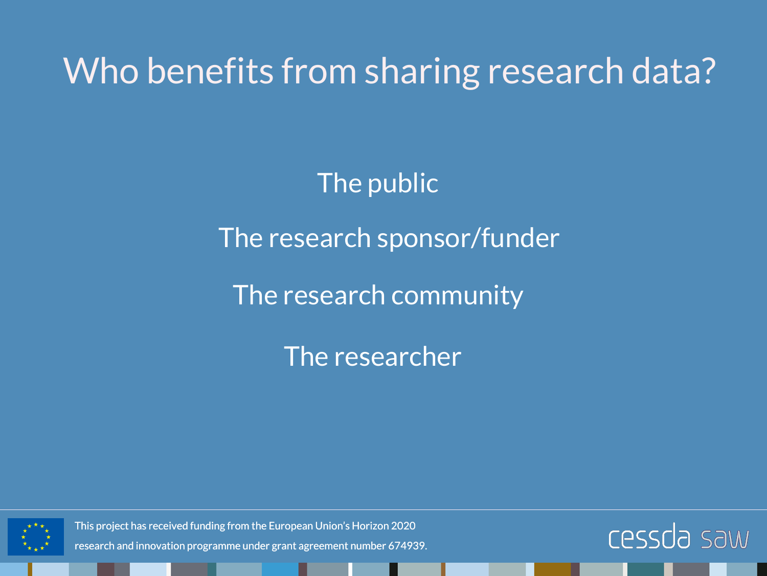Who benefits from sharing research data?

The public

The research sponsor/funder

The research community

The researcher



This project has received funding from the European Union's Horizon 2020

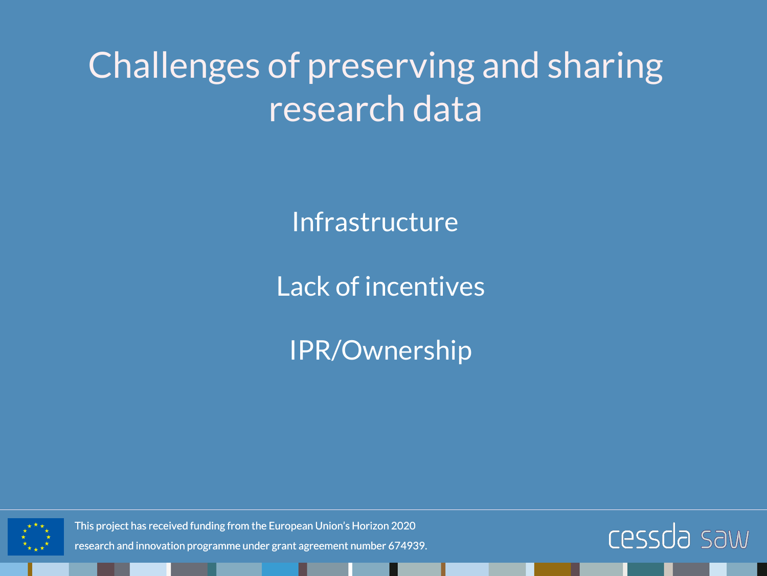### Challenges of preserving and sharing research data

Infrastructure

Lack of incentives

IPR/Ownership



This project has received funding from the European Union's Horizon 2020

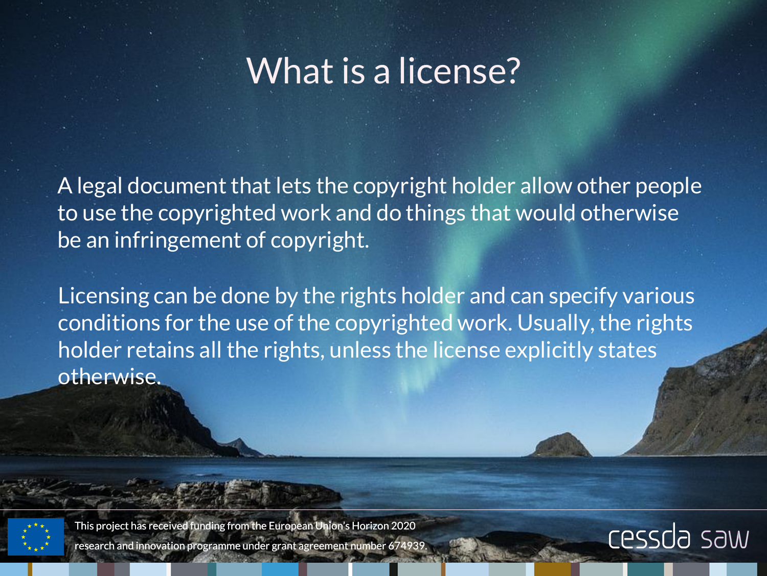#### What is a license?

A legal document that lets the copyright holder allow other people to use the copyrighted work and do things that would otherwise be an infringement of copyright.

Licensing can be done by the rights holder and can specify various conditions for the use of the copyrighted work. Usually, the rights holder retains all the rights, unless the license explicitly states otherwise.

This project has received funding from the European Union's Horizon 2020 research and innovation programme under grant agreement number 674939.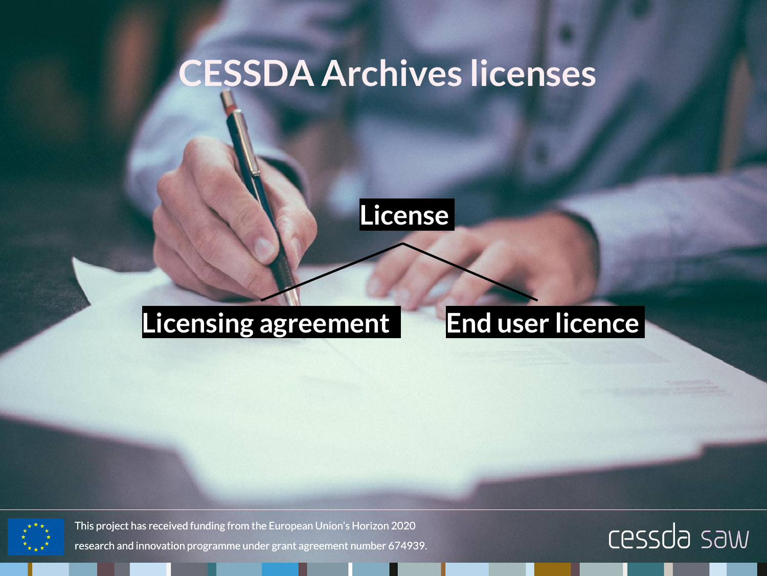#### **CESSDA Archives licenses**



#### **Licensing agreement End user licence**



This project has received funding from the European Union's Horizon 2020

research and innovation programme under grant agreement number 674939.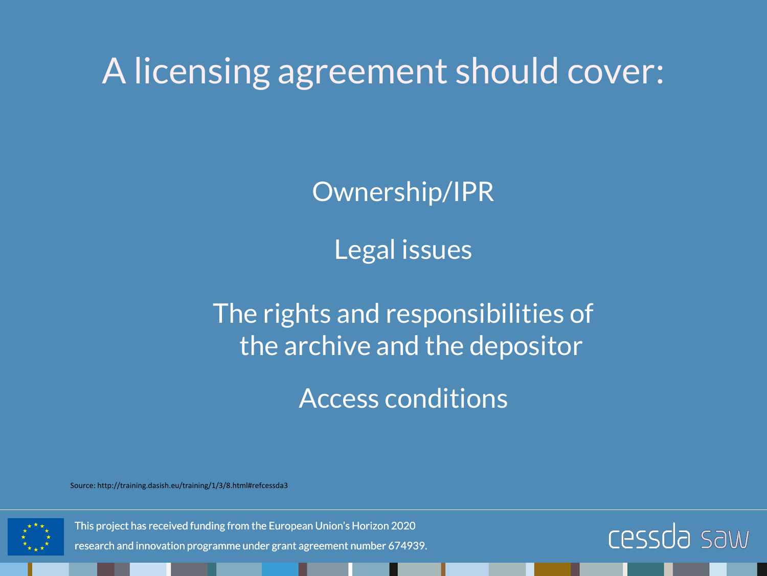A licensing agreement should cover:

Ownership/IPR

Legal issues

The rights and responsibilities of the archive and the depositor

Access conditions

Source: http://training.dasish.eu/training/1/3/8.html#refcessda3



This project has received funding from the European Union's Horizon 2020

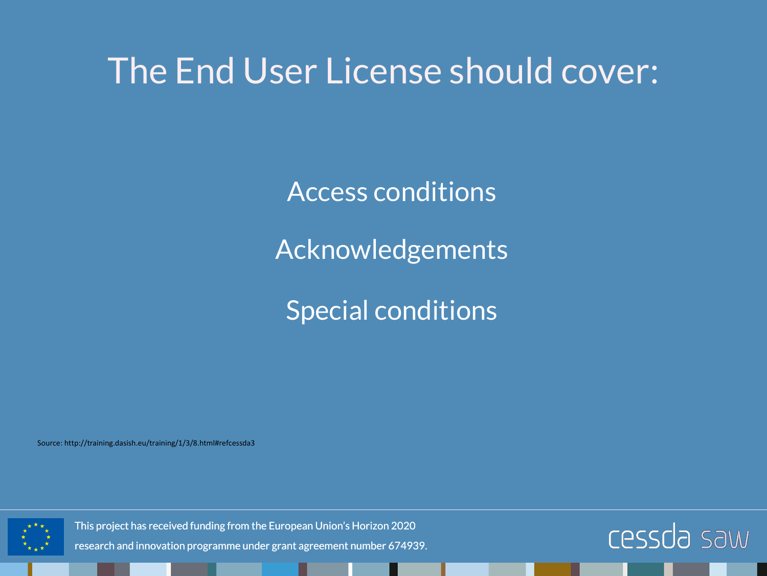#### The End User License should cover:

Access conditions

Acknowledgements

Special conditions

Source: http://training.dasish.eu/training/1/3/8.html#refcessda3



This project has received funding from the European Union's Horizon 2020

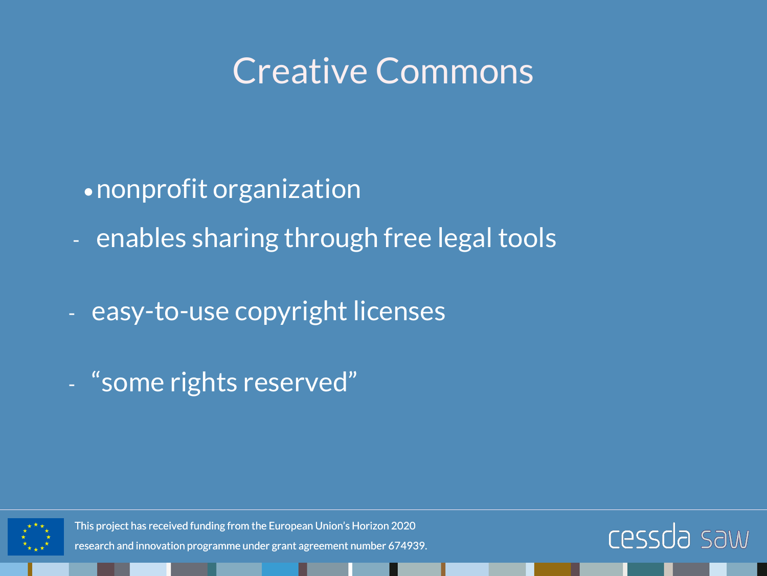#### Creative Commons

- •nonprofit organization
- enables sharing through free legal tools
- easy-to-use copyright licenses
- "some rights reserved"



This project has received funding from the European Union's Horizon 2020

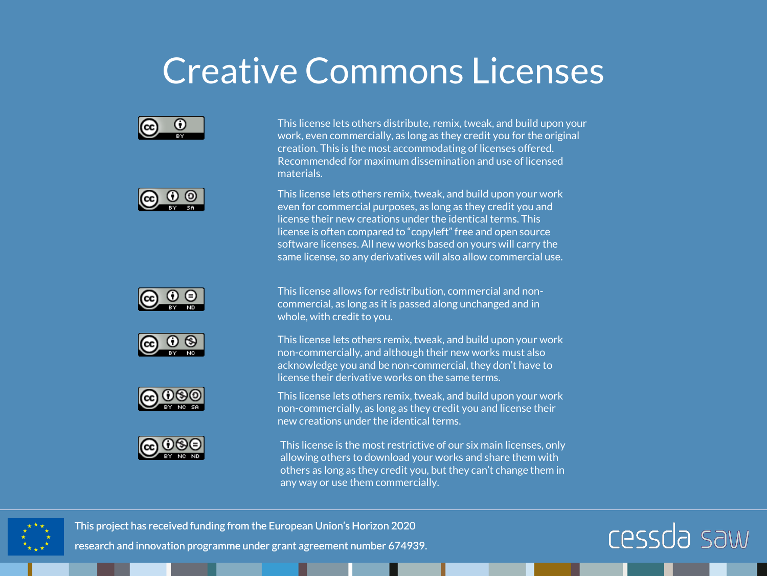#### Creative Commons Licenses













This license lets others distribute, remix, tweak, and build upon your work, even commercially, as long as they credit you for the original creation. This is the most accommodating of licenses offered. Recommended for maximum dissemination and use of licensed materials.

This license lets others remix, tweak, and build upon your work even for commercial purposes, as long as they credit you and license their new creations under the identical terms. This license is often compared to "copyleft" free and open source software licenses. All new works based on yours will carry the same license, so any derivatives will also allow commercial use.

This license allows for redistribution, commercial and noncommercial, as long as it is passed along unchanged and in whole, with credit to you.

This license lets others remix, tweak, and build upon your work non-commercially, and although their new works must also acknowledge you and be non-commercial, they don't have to license their derivative works on the same terms.

This license lets others remix, tweak, and build upon your work non-commercially, as long as they credit you and license their new creations under the identical terms.

This license is the most restrictive of our six main licenses, only allowing others to download your works and share them with others as long as they credit you, but they can't change them in any way or use them commercially.



This project has received funding from the European Union's Horizon 2020

research and innovation programme under grant agreement number 674939.

#### **Cessda** saw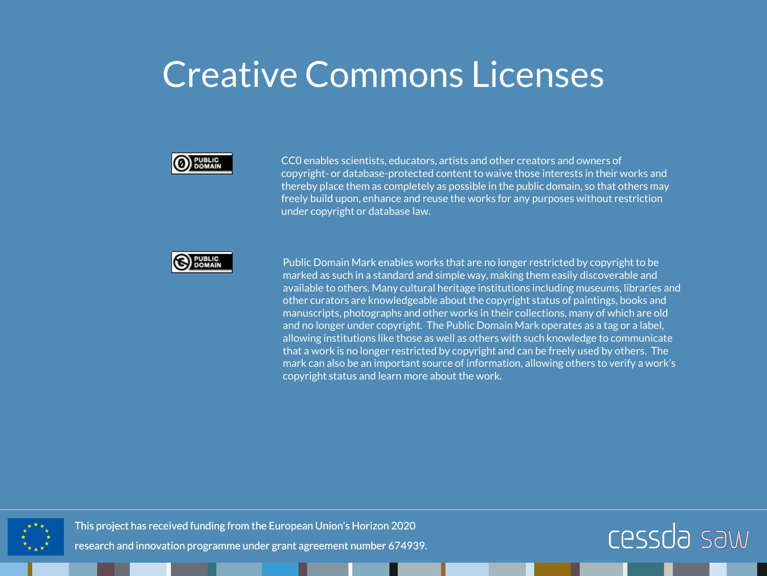#### Creative Commons Licenses



CC0 enables scientists, educators, artists and other creators and owners of copyright- or database-protected content to waive those interests in their works and thereby place them as completely as possible in the public domain, so that others may freely build upon, enhance and reuse the works for any purposes without restriction under copyright or database law.



Public Domain Mark enables works that are no longer restricted by copyright to be marked as such in a standard and simple way, making them easily discoverable and available to others. Many cultural heritage institutions including museums, libraries and other curators are knowledgeable about the copyright status of paintings, books and manuscripts, photographs and other works in their collections, many of which are old and no longer under copyright. The Public Domain Mark operates as a tag or a label, allowing institutions like those as well as others with such knowledge to communicate that a work is no longer restricted by copyright and can be freely used by others. The mark can also be an important source of information, allowing others to verify a work's copyright status and learn more about the work.



This project has received funding from the European Union's Horizon 2020

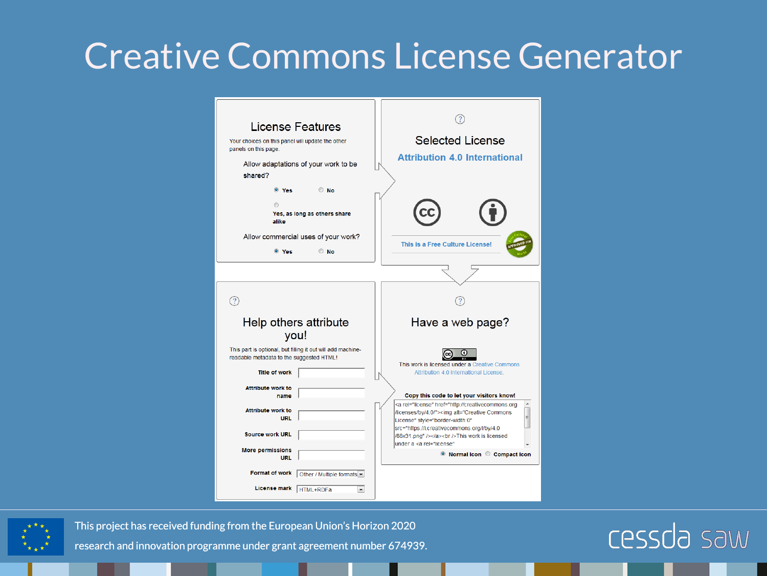#### Creative Commons License Generator

| License Features<br>Your choices on this panel will update the other<br>panels on this page.<br>Allow adaptations of your work to be<br>shared?<br>$\circ$ No<br><sup>O</sup> Yes | <b>Selected License</b><br><b>Attribution 4.0 International</b>                                                                                                                                                      |
|-----------------------------------------------------------------------------------------------------------------------------------------------------------------------------------|----------------------------------------------------------------------------------------------------------------------------------------------------------------------------------------------------------------------|
| 69<br>Yes, as long as others share<br>alike<br>Allow commercial uses of your work?<br>$\circ$ No<br><sup>O</sup> Yes                                                              | This is a Free Culture License!                                                                                                                                                                                      |
|                                                                                                                                                                                   |                                                                                                                                                                                                                      |
|                                                                                                                                                                                   |                                                                                                                                                                                                                      |
| Help others attribute<br>you!                                                                                                                                                     | Have a web page?                                                                                                                                                                                                     |
| This part is optional, but filling it out will add machine-                                                                                                                       |                                                                                                                                                                                                                      |
| readable metadata to the suggested HTML!<br><b>Title of work</b>                                                                                                                  | $\bf o$<br>This work is licensed under a Creative Commons<br>Attribution 4.0 International License.                                                                                                                  |
| <b>Attribute work to</b><br>name                                                                                                                                                  | Copy this code to let your visitors know!                                                                                                                                                                            |
| <b>Attribute work to</b><br><b>URL</b>                                                                                                                                            | <a href="http://creativecommons.org&lt;br&gt;/licenses/by/4.0/" rel="license"><img <br="" alt="Creative Commons&lt;br&gt;티&lt;br&gt;License" style="border-width:0"/>src="https://i.creativecommons.org/l/by/4.0</a> |
| <b>Source work URL</b><br><b>More permissions</b>                                                                                                                                 | /88x31.png" /><br>This work is licensed<br>under a <a <br="" rel="license">◎ Normal Icon ◎ Compact Icon</a>                                                                                                          |
| <b>URL</b><br><b>Format of work</b><br>Other / Multiple formats                                                                                                                   |                                                                                                                                                                                                                      |

This project has received funding from the European Union's Horizon 2020

research and innovation programme under grant agreement number 674939.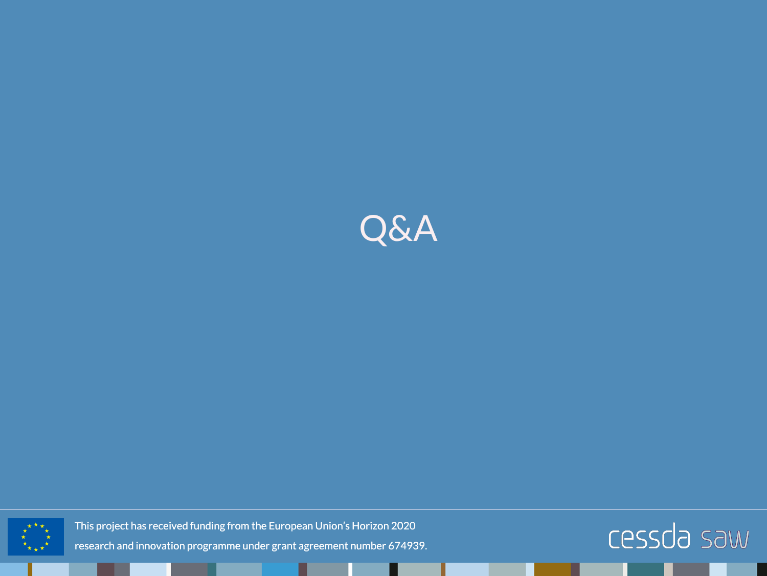



This project has received funding from the European Union's Horizon 2020